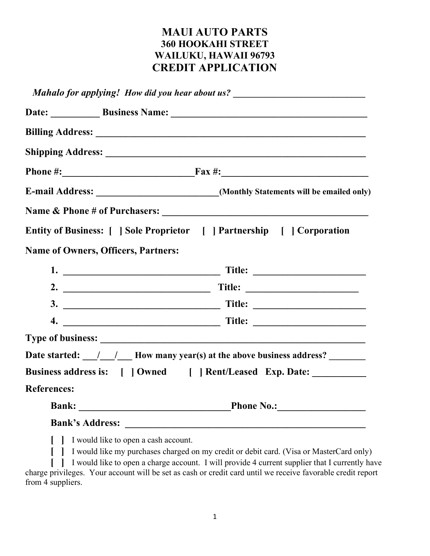## MAUI AUTO PARTS 360 HOOKAHI STREET WAILUKU, HAWAII 96793 CREDIT APPLICATION

|                    | Mahalo for applying! How did you hear about us? ________________________________                                |
|--------------------|-----------------------------------------------------------------------------------------------------------------|
|                    | Date: Business Name: Manner Manner Manner Manner Manner Manner Manner Manner Manner Manner Manner Manner Manner |
|                    |                                                                                                                 |
|                    |                                                                                                                 |
|                    |                                                                                                                 |
|                    | E-mail Address: ___________________________(Monthly Statements will be emailed only)                            |
|                    |                                                                                                                 |
|                    | Entity of Business: [ ] Sole Proprietor [ ] Partnership [ ] Corporation                                         |
|                    | <b>Name of Owners, Officers, Partners:</b>                                                                      |
|                    |                                                                                                                 |
|                    |                                                                                                                 |
|                    |                                                                                                                 |
|                    |                                                                                                                 |
|                    |                                                                                                                 |
|                    | Date started: $\frac{1}{\sqrt{2}}$ How many year(s) at the above business address?                              |
|                    | Business address is: [ ] Owned [ ] Rent/Leased Exp. Date: __________                                            |
| <b>References:</b> |                                                                                                                 |
|                    | Bank: Phone No.: Phone No.:                                                                                     |
|                    |                                                                                                                 |
|                    | [ ] I would like to open a cash account.                                                                        |

[ ] I would like my purchases charged on my credit or debit card. (Visa or MasterCard only)

[ ] I would like to open a charge account. I will provide 4 current supplier that I currently have charge privileges. Your account will be set as cash or credit card until we receive favorable credit report from 4 suppliers.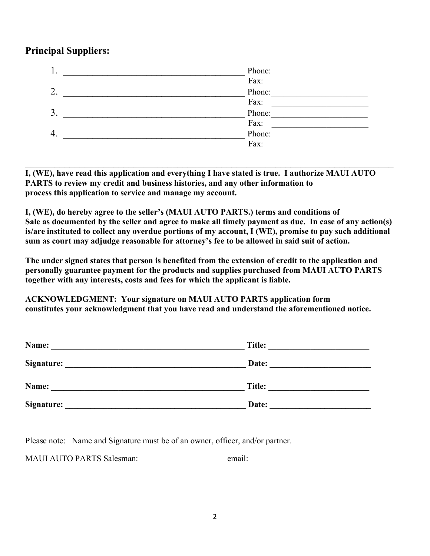## Principal Suppliers:

| ı. | Phone: |
|----|--------|
|    | Fax:   |
| 2. | Phone: |
|    | Fax:   |
| 3. | Phone: |
|    | Fax:   |
| 4. | Phone: |
|    | Fax:   |

I, (WE), have read this application and everything I have stated is true. I authorize MAUI AUTO PARTS to review my credit and business histories, and any other information to process this application to service and manage my account.

I, (WE), do hereby agree to the seller's (MAUI AUTO PARTS.) terms and conditions of Sale as documented by the seller and agree to make all timely payment as due. In case of any action(s) is/are instituted to collect any overdue portions of my account, I (WE), promise to pay such additional sum as court may adjudge reasonable for attorney's fee to be allowed in said suit of action.

The under signed states that person is benefited from the extension of credit to the application and personally guarantee payment for the products and supplies purchased from MAUI AUTO PARTS together with any interests, costs and fees for which the applicant is liable.

ACKNOWLEDGMENT: Your signature on MAUI AUTO PARTS application form constitutes your acknowledgment that you have read and understand the aforementioned notice.

| Name:      | Title: |
|------------|--------|
| Signature: | Date:  |
| Name:      | Title: |
| Signature: | Date:  |

Please note: Name and Signature must be of an owner, officer, and/or partner.

MAUI AUTO PARTS Salesman: email: